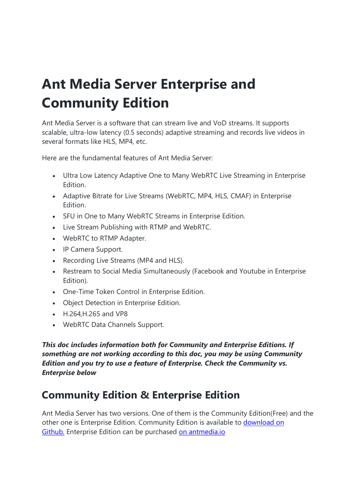# Ant Media Server Enterprise and Community Edition

Ant Media Server is a software that can stream live and VoD streams. It supports scalable, ultra-low latency (0.5 seconds) adaptive streaming and records live videos in several formats like HLS, MP4, etc.

Here are the fundamental features of Ant Media Server:

- Ultra Low Latency Adaptive One to Many WebRTC Live Streaming in Enterprise Edition.
- Adaptive Bitrate for Live Streams (WebRTC, MP4, HLS, CMAF) in Enterprise Edition.
- SFU in One to Many WebRTC Streams in Enterprise Edition.
- Live Stream Publishing with RTMP and WebRTC.
- WebRTC to RTMP Adapter.
- IP Camera Support.
- Recording Live Streams (MP4 and HLS).
- Restream to Social Media Simultaneously (Facebook and Youtube in Enterprise Edition).
- One-Time Token Control in Enterprise Edition.
- Object Detection in Enterprise Edition.
- H.264,H.265 and VP8
- WebRTC Data Channels Support.

This doc includes information both for Community and Enterprise Editions. If something are not working according to this doc, you may be using Community Edition and you try to use a feature of Enterprise. Check the Community vs. Enterprise below

# Community Edition & Enterprise Edition

Ant Media Server has two versions. One of them is the Community Edition(Free) and the other one is Enterprise Edition. Community Edition is available to download on Github. Enterprise Edition can be purchased on antmedia.io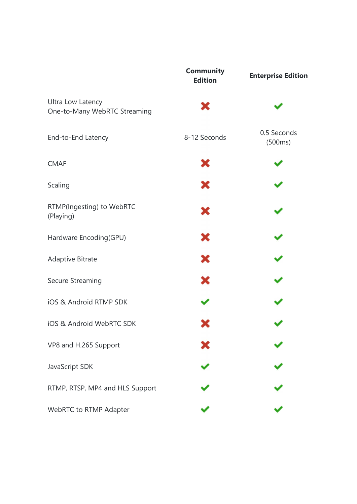|                                                   | <b>Community</b><br><b>Edition</b> | <b>Enterprise Edition</b> |
|---------------------------------------------------|------------------------------------|---------------------------|
| Ultra Low Latency<br>One-to-Many WebRTC Streaming | ×                                  |                           |
| End-to-End Latency                                | 8-12 Seconds                       | 0.5 Seconds<br>(500ms)    |
| <b>CMAF</b>                                       | ×                                  |                           |
| Scaling                                           | ×                                  |                           |
| RTMP(Ingesting) to WebRTC<br>(Playing)            | ×                                  |                           |
| Hardware Encoding(GPU)                            | ×                                  |                           |
| <b>Adaptive Bitrate</b>                           | ×                                  |                           |
| Secure Streaming                                  | ×                                  |                           |
| iOS & Android RTMP SDK                            |                                    |                           |
| iOS & Android WebRTC SDK                          |                                    |                           |
| VP8 and H.265 Support                             |                                    |                           |
| JavaScript SDK                                    |                                    |                           |
| RTMP, RTSP, MP4 and HLS Support                   |                                    |                           |
| WebRTC to RTMP Adapter                            |                                    |                           |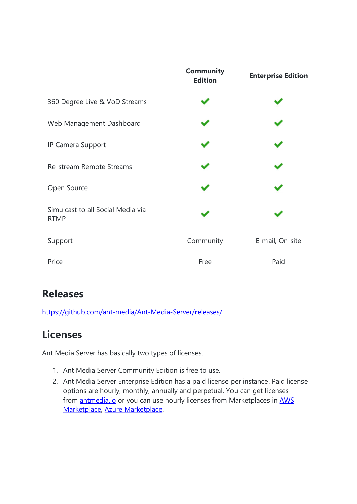|                                                  | <b>Community</b><br><b>Edition</b> | <b>Enterprise Edition</b> |  |
|--------------------------------------------------|------------------------------------|---------------------------|--|
| 360 Degree Live & VoD Streams                    |                                    |                           |  |
| Web Management Dashboard                         |                                    |                           |  |
| IP Camera Support                                |                                    |                           |  |
| Re-stream Remote Streams                         |                                    |                           |  |
| Open Source                                      |                                    |                           |  |
| Simulcast to all Social Media via<br><b>RTMP</b> |                                    |                           |  |
| Support                                          | Community                          | E-mail, On-site           |  |
| Price                                            | Free                               | Paid                      |  |

# Releases

https://github.com/ant-media/Ant-Media-Server/releases/

# Licenses

Ant Media Server has basically two types of licenses.

- 1. Ant Media Server Community Edition is free to use.
- 2. Ant Media Server Enterprise Edition has a paid license per instance. Paid license options are hourly, monthly, annually and perpetual. You can get licenses from **antmedia.io** or you can use hourly licenses from Marketplaces in **AWS** Marketplace, Azure Marketplace.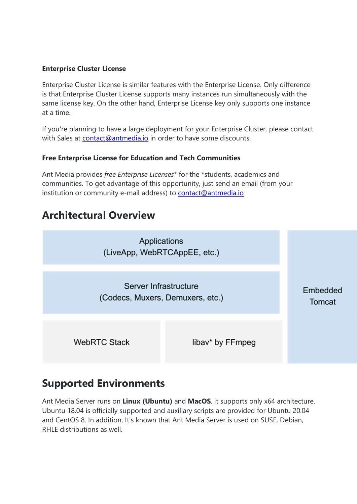#### Enterprise Cluster License

Enterprise Cluster License is similar features with the Enterprise License. Only difference is that Enterprise Cluster License supports many instances run simultaneously with the same license key. On the other hand, Enterprise License key only supports one instance at a time.

If you're planning to have a large deployment for your Enterprise Cluster, please contact with Sales at contact@antmedia.io in order to have some discounts.

#### Free Enterprise License for Education and Tech Communities

Ant Media provides free Enterprise Licenses\* for the \*students, academics and communities. To get advantage of this opportunity, just send an email (from your institution or community e-mail address) to contact@antmedia.io

## Architectural Overview



# Supported Environments

Ant Media Server runs on Linux (Ubuntu) and MacOS. it supports only x64 architecture. Ubuntu 18.04 is officially supported and auxiliary scripts are provided for Ubuntu 20.04 and CentOS 8. In addition, It's known that Ant Media Server is used on SUSE, Debian, RHLE distributions as well.